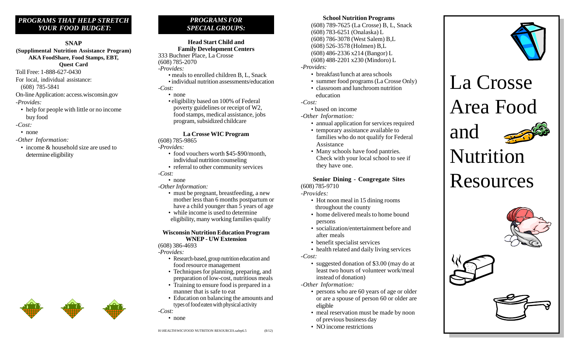# *PROGRAMS THAT HELP STRETCH YOUR FOOD BUDGET:*

#### **SNAP**

**(Supplimental Nutrition Assistance Program) AKA FoodShare, Food Stamps, EBT, Quest Card** Toll Free: 1-888-627-0430

For local, individual assistance:

(608) 785-5841

On-line Application: access.wisconsin.gov

-*Provides:*

- help for people with little or no income buy food
- -*Cost:*
- none
- -*Other Information:*
- income & household size are used to determine eligibility

# *PROGRAMS FOR SPECIAL GROUPS:*

**Head Start Child and Family Development Centers** 333 Buchner Place, La Crosse (608) 785-2070 -*Provides:*

- meals to enrolled children B, L, Snack
- individual nutrition assessments/education -*Cost:*
	- none

• eligibility based on 100% of Federal poverty guidelines or receipt of W2, food stamps, medical assistance, jobs program, subsidized childcare

## **La Crosse WIC Program**

(608) 785-9865

-*Provides:*

- food vouchers worth \$45-\$90/month, individual nutrition counseling
- referral to other community services

#### -*Cost:* • none

## *-Other Information:*

- must be pregnant, breastfeeding, a new mother less than 6 months postpartum or have a child younger than 5 years of age
- while income is used to determine eligibility, many working families qualify

#### **Wisconsin Nutrition Education Program WNEP - UW Extension**

(608) 386-4693

-*Provides:*

- Research-based, group nutrition education and food resource management
- Techniques for planning, preparing, and preparation of low-cost, nutritious meals
- Training to ensure food is prepared in a manner that is safe to eat
- Education on balancing the amounts and types of food eaten with physical activity -*Cost:*
	- none

# **School Nutrition Programs**

(608) 789-7625 (La Crosse) B, L, Snack (608) 783-6251 (Onalaska) L (608) 786-3078 (West Salem) B,L (608) 526-3578 (Holmen) B,L (608) 486-2336 x214 (Bangor) L (608) 488-2201 x230 (Mindoro) L

- -*Provides:*
	- breakfast/lunch at area schools
	- summer food programs (La Crosse Only)
	- classroom and lunchroom nutrition education

-*Cost:*

• based on income

*-Other Information:*

- annual application for services required
- temporary assistance available to families who do not qualify for Federal Assistance
- Many schools have food pantries. Check with your local school to see if they have one.

**Senior Dining - Congregate Sites** (608) 785-9710

-*Provides:*

- Hot noon meal in 15 dining rooms throughout the county
- home delivered meals to home bound persons
- socialization/entertainment before and after meals
- benefit specialist services
- health related and daily living services

*-Cost:*

• suggested donation of \$3.00 (may do at least two hours of volunteer work/meal instead of donation)

*-Other Information:*

- persons who are 60 years of age or older or are a spouse of person 60 or older are eligible
- meal reservation must be made by noon of previous business day
- NO income restrictions